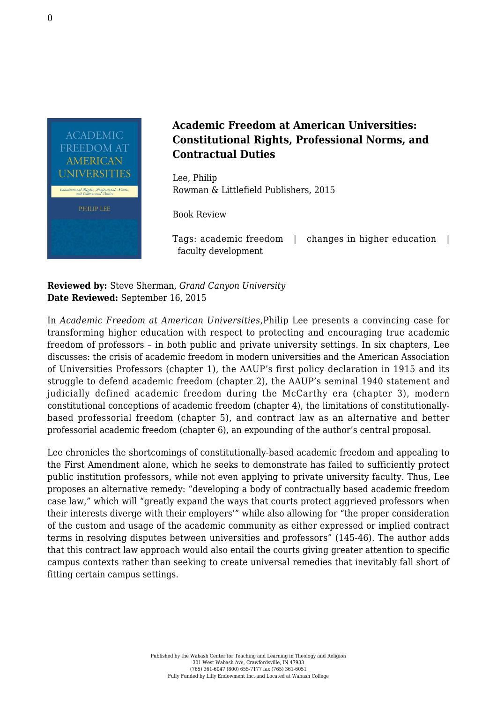

## **Academic Freedom at American Universities: Constitutional Rights, Professional Norms, and Contractual Duties**

Lee, Philip [Rowman & Littlefield Publishers, 2015](https://rowman.com/ISBN/9781498501019)

Book Review

Tags: academic freedom | changes in higher education | faculty development

**Reviewed by:** Steve Sherman, *Grand Canyon University* **Date Reviewed:** September 16, 2015

In *Academic Freedom at American Universities*,Philip Lee presents a convincing case for transforming higher education with respect to protecting and encouraging true academic freedom of professors – in both public and private university settings. In six chapters, Lee discusses: the crisis of academic freedom in modern universities and the American Association of Universities Professors (chapter 1), the AAUP's first policy declaration in 1915 and its struggle to defend academic freedom (chapter 2), the AAUP's seminal 1940 statement and judicially defined academic freedom during the McCarthy era (chapter 3), modern constitutional conceptions of academic freedom (chapter 4), the limitations of constitutionallybased professorial freedom (chapter 5), and contract law as an alternative and better professorial academic freedom (chapter 6), an expounding of the author's central proposal.

Lee chronicles the shortcomings of constitutionally-based academic freedom and appealing to the First Amendment alone, which he seeks to demonstrate has failed to sufficiently protect public institution professors, while not even applying to private university faculty. Thus, Lee proposes an alternative remedy: "developing a body of contractually based academic freedom case law," which will "greatly expand the ways that courts protect aggrieved professors when their interests diverge with their employers'" while also allowing for "the proper consideration of the custom and usage of the academic community as either expressed or implied contract terms in resolving disputes between universities and professors" (145-46). The author adds that this contract law approach would also entail the courts giving greater attention to specific campus contexts rather than seeking to create universal remedies that inevitably fall short of fitting certain campus settings.